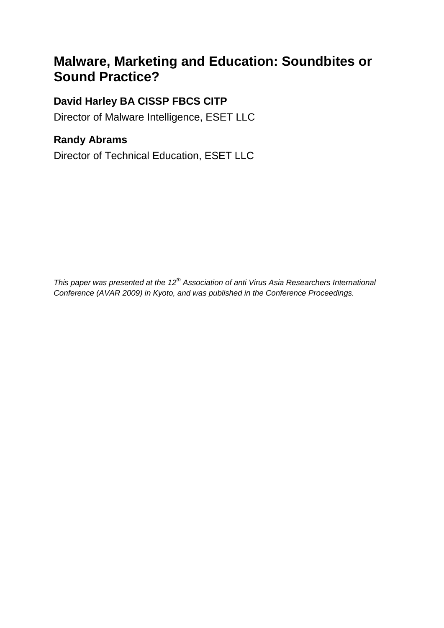# **Malware, Marketing and Education: Soundbites or Sound Practice?**

# **David Harley BA CISSP FBCS CITP**

Director of Malware Intelligence, ESET LLC

# **Randy Abrams**

Director of Technical Education, ESET LLC

*This paper was presented at the 12th Association of anti Virus Asia Researchers International Conference (AVAR 2009) in Kyoto, and was published in the Conference Proceedings.*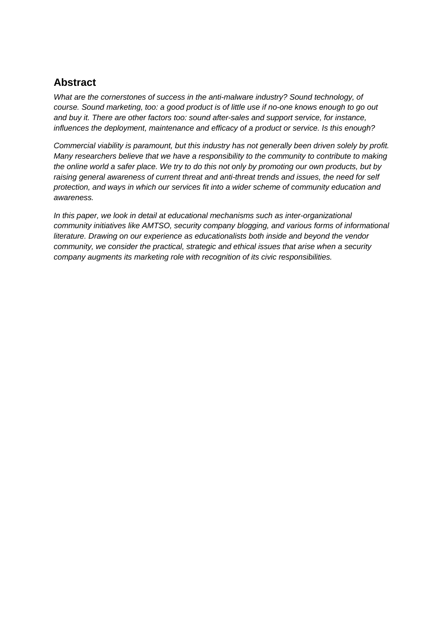#### **Abstract**

*What are the cornerstones of success in the anti-malware industry? Sound technology, of course. Sound marketing, too: a good product is of little use if no-one knows enough to go out and buy it. There are other factors too: sound after-sales and support service, for instance, influences the deployment, maintenance and efficacy of a product or service. Is this enough?*

*Commercial viability is paramount, but this industry has not generally been driven solely by profit. Many researchers believe that we have a responsibility to the community to contribute to making the online world a safer place. We try to do this not only by promoting our own products, but by raising general awareness of current threat and anti-threat trends and issues, the need for self protection, and ways in which our services fit into a wider scheme of community education and awareness.*

*In this paper, we look in detail at educational mechanisms such as inter-organizational community initiatives like AMTSO, security company blogging, and various forms of informational literature. Drawing on our experience as educationalists both inside and beyond the vendor community, we consider the practical, strategic and ethical issues that arise when a security company augments its marketing role with recognition of its civic responsibilities.*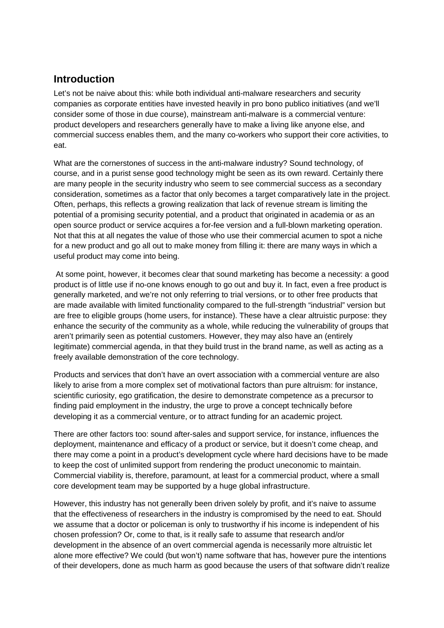#### **Introduction**

Let's not be naive about this: while both individual anti-malware researchers and security companies as corporate entities have invested heavily in pro bono publico initiatives (and we'll consider some of those in due course), mainstream anti-malware is a commercial venture: product developers and researchers generally have to make a living like anyone else, and commercial success enables them, and the many co-workers who support their core activities, to eat.

What are the cornerstones of success in the anti-malware industry? Sound technology, of course, and in a purist sense good technology might be seen as its own reward. Certainly there are many people in the security industry who seem to see commercial success as a secondary consideration, sometimes as a factor that only becomes a target comparatively late in the project. Often, perhaps, this reflects a growing realization that lack of revenue stream is limiting the potential of a promising security potential, and a product that originated in academia or as an open source product or service acquires a for-fee version and a full-blown marketing operation. Not that this at all negates the value of those who use their commercial acumen to spot a niche for a new product and go all out to make money from filling it: there are many ways in which a useful product may come into being.

At some point, however, it becomes clear that sound marketing has become a necessity: a good product is of little use if no-one knows enough to go out and buy it. In fact, even a free product is generally marketed, and we're not only referring to trial versions, or to other free products that are made available with limited functionality compared to the full-strength "industrial" version but are free to eligible groups (home users, for instance). These have a clear altruistic purpose: they enhance the security of the community as a whole, while reducing the vulnerability of groups that aren't primarily seen as potential customers. However, they may also have an (entirely legitimate) commercial agenda, in that they build trust in the brand name, as well as acting as a freely available demonstration of the core technology.

Products and services that don't have an overt association with a commercial venture are also likely to arise from a more complex set of motivational factors than pure altruism: for instance, scientific curiosity, ego gratification, the desire to demonstrate competence as a precursor to finding paid employment in the industry, the urge to prove a concept technically before developing it as a commercial venture, or to attract funding for an academic project.

There are other factors too: sound after-sales and support service, for instance, influences the deployment, maintenance and efficacy of a product or service, but it doesn't come cheap, and there may come a point in a product's development cycle where hard decisions have to be made to keep the cost of unlimited support from rendering the product uneconomic to maintain. Commercial viability is, therefore, paramount, at least for a commercial product, where a small core development team may be supported by a huge global infrastructure.

However, this industry has not generally been driven solely by profit, and it's naive to assume that the effectiveness of researchers in the industry is compromised by the need to eat. Should we assume that a doctor or policeman is only to trustworthy if his income is independent of his chosen profession? Or, come to that, is it really safe to assume that research and/or development in the absence of an overt commercial agenda is necessarily more altruistic let alone more effective? We could (but won't) name software that has, however pure the intentions of their developers, done as much harm as good because the users of that software didn't realize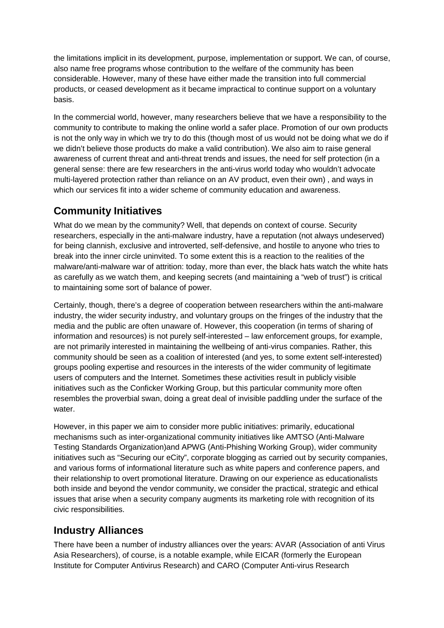the limitations implicit in its development, purpose, implementation or support. We can, of course, also name free programs whose contribution to the welfare of the community has been considerable. However, many of these have either made the transition into full commercial products, or ceased development as it became impractical to continue support on a voluntary basis.

In the commercial world, however, many researchers believe that we have a responsibility to the community to contribute to making the online world a safer place. Promotion of our own products is not the only way in which we try to do this (though most of us would not be doing what we do if we didn't believe those products do make a valid contribution). We also aim to raise general awareness of current threat and anti-threat trends and issues, the need for self protection (in a general sense: there are few researchers in the anti-virus world today who wouldn't advocate multi-layered protection rather than reliance on an AV product, even their own) , and ways in which our services fit into a wider scheme of community education and awareness.

#### **Community Initiatives**

What do we mean by the community? Well, that depends on context of course. Security researchers, especially in the anti-malware industry, have a reputation (not always undeserved) for being clannish, exclusive and introverted, self-defensive, and hostile to anyone who tries to break into the inner circle uninvited. To some extent this is a reaction to the realities of the malware/anti-malware war of attrition: today, more than ever, the black hats watch the white hats as carefully as we watch them, and keeping secrets (and maintaining a "web of trust") is critical to maintaining some sort of balance of power.

Certainly, though, there's a degree of cooperation between researchers within the anti-malware industry, the wider security industry, and voluntary groups on the fringes of the industry that the media and the public are often unaware of. However, this cooperation (in terms of sharing of information and resources) is not purely self-interested – law enforcement groups, for example, are not primarily interested in maintaining the wellbeing of anti-virus companies. Rather, this community should be seen as a coalition of interested (and yes, to some extent self-interested) groups pooling expertise and resources in the interests of the wider community of legitimate users of computers and the Internet. Sometimes these activities result in publicly visible initiatives such as the Conficker Working Group, but this particular community more often resembles the proverbial swan, doing a great deal of invisible paddling under the surface of the water.

However, in this paper we aim to consider more public initiatives: primarily, educational mechanisms such as inter-organizational community initiatives like AMTSO (Anti-Malware Testing Standards Organization)and APWG (Anti-Phishing Working Group), wider community initiatives such as "Securing our eCity", corporate blogging as carried out by security companies, and various forms of informational literature such as white papers and conference papers, and their relationship to overt promotional literature. Drawing on our experience as educationalists both inside and beyond the vendor community, we consider the practical, strategic and ethical issues that arise when a security company augments its marketing role with recognition of its civic responsibilities.

# **Industry Alliances**

There have been a number of industry alliances over the years: AVAR (Association of anti Virus Asia Researchers), of course, is a notable example, while EICAR (formerly the European Institute for Computer Antivirus Research) and CARO (Computer Anti-virus Research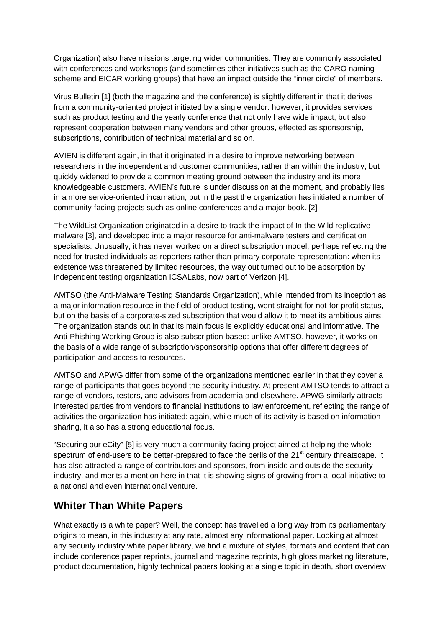Organization) also have missions targeting wider communities. They are commonly associated with conferences and workshops (and sometimes other initiatives such as the CARO naming scheme and EICAR working groups) that have an impact outside the "inner circle" of members.

Virus Bulletin [1] (both the magazine and the conference) is slightly different in that it derives from a community-oriented project initiated by a single vendor: however, it provides services such as product testing and the yearly conference that not only have wide impact, but also represent cooperation between many vendors and other groups, effected as sponsorship, subscriptions, contribution of technical material and so on.

AVIEN is different again, in that it originated in a desire to improve networking between researchers in the independent and customer communities, rather than within the industry, but quickly widened to provide a common meeting ground between the industry and its more knowledgeable customers. AVIEN's future is under discussion at the moment, and probably lies in a more service-oriented incarnation, but in the past the organization has initiated a number of community-facing projects such as online conferences and a major book. [2]

The WildList Organization originated in a desire to track the impact of In-the-Wild replicative malware [3], and developed into a major resource for anti-malware testers and certification specialists. Unusually, it has never worked on a direct subscription model, perhaps reflecting the need for trusted individuals as reporters rather than primary corporate representation: when its existence was threatened by limited resources, the way out turned out to be absorption by independent testing organization ICSALabs, now part of Verizon [4].

AMTSO (the Anti-Malware Testing Standards Organization), while intended from its inception as a major information resource in the field of product testing, went straight for not-for-profit status, but on the basis of a corporate-sized subscription that would allow it to meet its ambitious aims. The organization stands out in that its main focus is explicitly educational and informative. The Anti-Phishing Working Group is also subscription-based: unlike AMTSO, however, it works on the basis of a wide range of subscription/sponsorship options that offer different degrees of participation and access to resources.

AMTSO and APWG differ from some of the organizations mentioned earlier in that they cover a range of participants that goes beyond the security industry. At present AMTSO tends to attract a range of vendors, testers, and advisors from academia and elsewhere. APWG similarly attracts interested parties from vendors to financial institutions to law enforcement, reflecting the range of activities the organization has initiated: again, while much of its activity is based on information sharing, it also has a strong educational focus.

"Securing our eCity" [5] is very much a community-facing project aimed at helping the whole spectrum of end-users to be better-prepared to face the perils of the 21<sup>st</sup> century threatscape. It has also attracted a range of contributors and sponsors, from inside and outside the security industry, and merits a mention here in that it is showing signs of growing from a local initiative to a national and even international venture.

#### **Whiter Than White Papers**

What exactly is a white paper? Well, the concept has travelled a long way from its parliamentary origins to mean, in this industry at any rate, almost any informational paper. Looking at almost any security industry white paper library, we find a mixture of styles, formats and content that can include conference paper reprints, journal and magazine reprints, high gloss marketing literature, product documentation, highly technical papers looking at a single topic in depth, short overview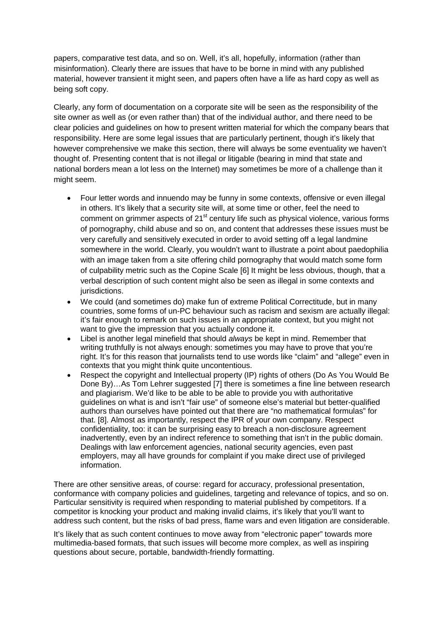papers, comparative test data, and so on. Well, it's all, hopefully, information (rather than misinformation). Clearly there are issues that have to be borne in mind with any published material, however transient it might seen, and papers often have a life as hard copy as well as being soft copy.

Clearly, any form of documentation on a corporate site will be seen as the responsibility of the site owner as well as (or even rather than) that of the individual author, and there need to be clear policies and guidelines on how to present written material for which the company bears that responsibility. Here are some legal issues that are particularly pertinent, though it's likely that however comprehensive we make this section, there will always be some eventuality we haven't thought of. Presenting content that is not illegal or litigable (bearing in mind that state and national borders mean a lot less on the Internet) may sometimes be more of a challenge than it might seem.

- Four letter words and innuendo may be funny in some contexts, offensive or even illegal in others. It's likely that a security site will, at some time or other, feel the need to comment on grimmer aspects of 21<sup>st</sup> century life such as physical violence, various forms of pornography, child abuse and so on, and content that addresses these issues must be very carefully and sensitively executed in order to avoid setting off a legal landmine somewhere in the world. Clearly, you wouldn't want to illustrate a point about paedophilia with an image taken from a site offering child pornography that would match some form of culpability metric such as the Copine Scale [6] It might be less obvious, though, that a verbal description of such content might also be seen as illegal in some contexts and jurisdictions.
- We could (and sometimes do) make fun of extreme Political Correctitude, but in many countries, some forms of un-PC behaviour such as racism and sexism are actually illegal: it's fair enough to remark on such issues in an appropriate context, but you might not want to give the impression that you actually condone it.
- Libel is another legal minefield that should *always* be kept in mind. Remember that writing truthfully is not always enough: sometimes you may have to prove that you're right. It's for this reason that journalists tend to use words like "claim" and "allege" even in contexts that you might think quite uncontentious.
- Respect the copyright and Intellectual property (IP) rights of others (Do As You Would Be Done By)…As Tom Lehrer suggested [7] there is sometimes a fine line between research and plagiarism. We'd like to be able to be able to provide you with authoritative guidelines on what is and isn't "fair use" of someone else's material but better-qualified authors than ourselves have pointed out that there are "no mathematical formulas" for that. [8]. Almost as importantly, respect the IPR of your own company. Respect confidentiality, too: it can be surprising easy to breach a non-disclosure agreement inadvertently, even by an indirect reference to something that isn't in the public domain. Dealings with law enforcement agencies, national security agencies, even past employers, may all have grounds for complaint if you make direct use of privileged information.

There are other sensitive areas, of course: regard for accuracy, professional presentation, conformance with company policies and guidelines, targeting and relevance of topics, and so on. Particular sensitivity is required when responding to material published by competitors. If a competitor is knocking your product and making invalid claims, it's likely that you'll want to address such content, but the risks of bad press, flame wars and even litigation are considerable.

It's likely that as such content continues to move away from "electronic paper" towards more multimedia-based formats, that such issues will become more complex, as well as inspiring questions about secure, portable, bandwidth-friendly formatting.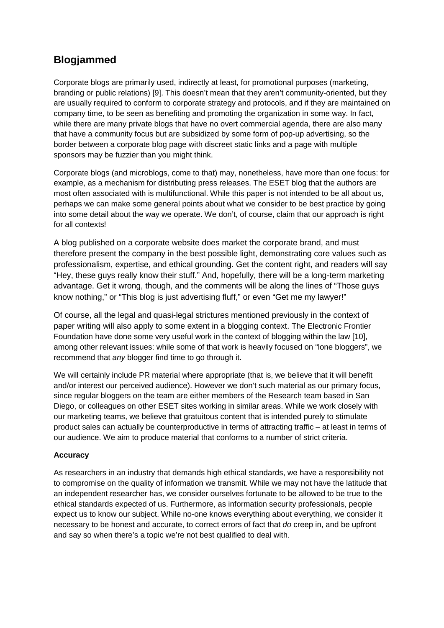### **Blogjammed**

Corporate blogs are primarily used, indirectly at least, for promotional purposes (marketing, branding or public relations) [9]. This doesn't mean that they aren't community-oriented, but they are usually required to conform to corporate strategy and protocols, and if they are maintained on company time, to be seen as benefiting and promoting the organization in some way. In fact, while there are many private blogs that have no overt commercial agenda, there are also many that have a community focus but are subsidized by some form of pop-up advertising, so the border between a corporate blog page with discreet static links and a page with multiple sponsors may be fuzzier than you might think.

Corporate blogs (and microblogs, come to that) may, nonetheless, have more than one focus: for example, as a mechanism for distributing press releases. The ESET blog that the authors are most often associated with is multifunctional. While this paper is not intended to be all about us, perhaps we can make some general points about what we consider to be best practice by going into some detail about the way we operate. We don't, of course, claim that our approach is right for all contexts!

A blog published on a corporate website does market the corporate brand, and must therefore present the company in the best possible light, demonstrating core values such as professionalism, expertise, and ethical grounding. Get the content right, and readers will say "Hey, these guys really know their stuff." And, hopefully, there will be a long-term marketing advantage. Get it wrong, though, and the comments will be along the lines of "Those guys know nothing," or "This blog is just advertising fluff," or even "Get me my lawyer!"

Of course, all the legal and quasi-legal strictures mentioned previously in the context of paper writing will also apply to some extent in a blogging context. The Electronic Frontier Foundation have done some very useful work in the context of blogging within the law [10], among other relevant issues: while some of that work is heavily focused on "lone bloggers", we recommend that *any* blogger find time to go through it.

We will certainly include PR material where appropriate (that is, we believe that it will benefit and/or interest our perceived audience). However we don't such material as our primary focus, since regular bloggers on the team are either members of the Research team based in San Diego, or colleagues on other ESET sites working in similar areas. While we work closely with our marketing teams, we believe that gratuitous content that is intended purely to stimulate product sales can actually be counterproductive in terms of attracting traffic – at least in terms of our audience. We aim to produce material that conforms to a number of strict criteria.

#### **Accuracy**

As researchers in an industry that demands high ethical standards, we have a responsibility not to compromise on the quality of information we transmit. While we may not have the latitude that an independent researcher has, we consider ourselves fortunate to be allowed to be true to the ethical standards expected of us. Furthermore, as information security professionals, people expect us to know our subject. While no-one knows everything about everything, we consider it necessary to be honest and accurate, to correct errors of fact that *do* creep in, and be upfront and say so when there's a topic we're not best qualified to deal with.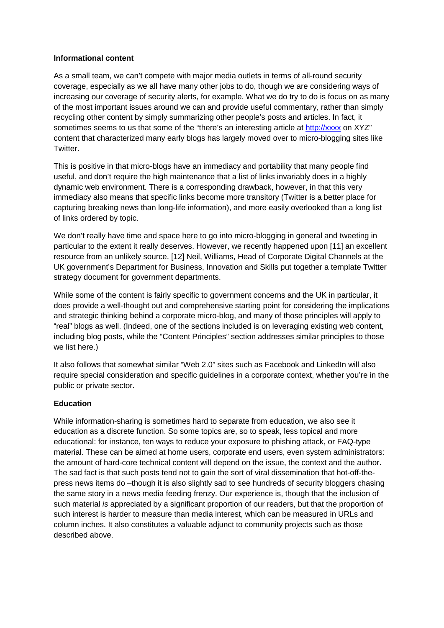#### **Informational content**

As a small team, we can't compete with major media outlets in terms of all-round security coverage, especially as we all have many other jobs to do, though we are considering ways of increasing our coverage of security alerts, for example. What we do try to do is focus on as many of the most important issues around we can and provide useful commentary, rather than simply recycling other content by simply summarizing other people's posts and articles. In fact, it sometimes seems to us that some of the "there's an interesting article at [http://xxxx](http://xxxx/) on XYZ" content that characterized many early blogs has largely moved over to micro-blogging sites like Twitter.

This is positive in that micro-blogs have an immediacy and portability that many people find useful, and don't require the high maintenance that a list of links invariably does in a highly dynamic web environment. There is a corresponding drawback, however, in that this very immediacy also means that specific links become more transitory (Twitter is a better place for capturing breaking news than long-life information), and more easily overlooked than a long list of links ordered by topic.

We don't really have time and space here to go into micro-blogging in general and tweeting in particular to the extent it really deserves. However, we recently happened upon [11] an excellent resource from an unlikely source. [12] Neil, Williams, Head of Corporate Digital Channels at the UK government's Department for Business, Innovation and Skills put together a template Twitter strategy document for government departments.

While some of the content is fairly specific to government concerns and the UK in particular, it does provide a well-thought out and comprehensive starting point for considering the implications and strategic thinking behind a corporate micro-blog, and many of those principles will apply to "real" blogs as well. (Indeed, one of the sections included is on leveraging existing web content, including blog posts, while the "Content Principles" section addresses similar principles to those we list here.)

It also follows that somewhat similar "Web 2.0" sites such as Facebook and LinkedIn will also require special consideration and specific guidelines in a corporate context, whether you're in the public or private sector.

#### **Education**

While information-sharing is sometimes hard to separate from education, we also see it education as a discrete function. So some topics are, so to speak, less topical and more educational: for instance, ten ways to reduce your exposure to phishing attack, or FAQ-type material. These can be aimed at home users, corporate end users, even system administrators: the amount of hard-core technical content will depend on the issue, the context and the author. The sad fact is that such posts tend not to gain the sort of viral dissemination that hot-off-thepress news items do –though it is also slightly sad to see hundreds of security bloggers chasing the same story in a news media feeding frenzy. Our experience is, though that the inclusion of such material *is* appreciated by a significant proportion of our readers, but that the proportion of such interest is harder to measure than media interest, which can be measured in URLs and column inches. It also constitutes a valuable adjunct to community projects such as those described above.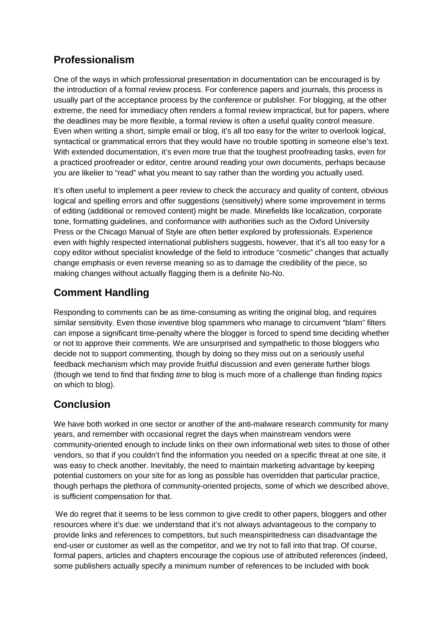# **Professionalism**

One of the ways in which professional presentation in documentation can be encouraged is by the introduction of a formal review process. For conference papers and journals, this process is usually part of the acceptance process by the conference or publisher. For blogging, at the other extreme, the need for immediacy often renders a formal review impractical, but for papers, where the deadlines may be more flexible, a formal review is often a useful quality control measure. Even when writing a short, simple email or blog, it's all too easy for the writer to overlook logical, syntactical or grammatical errors that they would have no trouble spotting in someone else's text. With extended documentation, it's even more true that the toughest proofreading tasks, even for a practiced proofreader or editor, centre around reading your own documents, perhaps because you are likelier to "read" what you meant to say rather than the wording you actually used.

It's often useful to implement a peer review to check the accuracy and quality of content, obvious logical and spelling errors and offer suggestions (sensitively) where some improvement in terms of editing (additional or removed content) might be made. Minefields like localization, corporate tone, formatting guidelines, and conformance with authorities such as the Oxford University Press or the Chicago Manual of Style are often better explored by professionals. Experience even with highly respected international publishers suggests, however, that it's all too easy for a copy editor without specialist knowledge of the field to introduce "cosmetic" changes that actually change emphasis or even reverse meaning so as to damage the credibility of the piece, so making changes without actually flagging them is a definite No-No.

# **Comment Handling**

Responding to comments can be as time-consuming as writing the original blog, and requires similar sensitivity. Even those inventive blog spammers who manage to circumvent "blam" filters can impose a significant time-penalty where the blogger is forced to spend time deciding whether or not to approve their comments. We are unsurprised and sympathetic to those bloggers who decide not to support commenting, though by doing so they miss out on a seriously useful feedback mechanism which may provide fruitful discussion and even generate further blogs (though we tend to find that finding *time* to blog is much more of a challenge than finding *topics* on which to blog).

# **Conclusion**

We have both worked in one sector or another of the anti-malware research community for many years, and remember with occasional regret the days when mainstream vendors were community-oriented enough to include links on their own informational web sites to those of other vendors, so that if you couldn't find the information you needed on a specific threat at one site, it was easy to check another. Inevitably, the need to maintain marketing advantage by keeping potential customers on your site for as long as possible has overridden that particular practice, though perhaps the plethora of community-oriented projects, some of which we described above, is sufficient compensation for that.

We do regret that it seems to be less common to give credit to other papers, bloggers and other resources where it's due: we understand that it's not always advantageous to the company to provide links and references to competitors, but such meanspiritedness can disadvantage the end-user or customer as well as the competitor, and we try not to fall into that trap. Of course, formal papers, articles and chapters encourage the copious use of attributed references (indeed, some publishers actually specify a minimum number of references to be included with book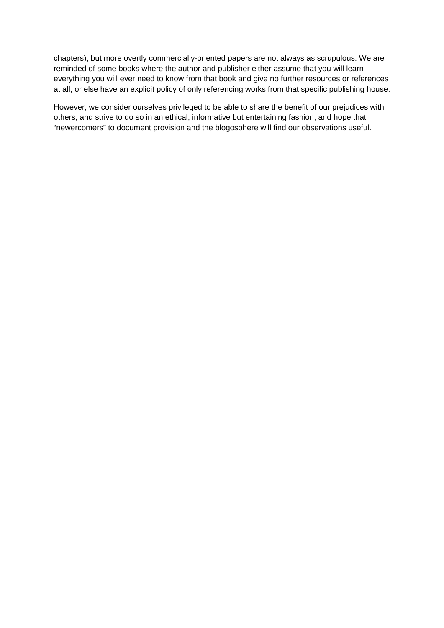chapters), but more overtly commercially-oriented papers are not always as scrupulous. We are reminded of some books where the author and publisher either assume that you will learn everything you will ever need to know from that book and give no further resources or references at all, or else have an explicit policy of only referencing works from that specific publishing house.

However, we consider ourselves privileged to be able to share the benefit of our prejudices with others, and strive to do so in an ethical, informative but entertaining fashion, and hope that "newercomers" to document provision and the blogosphere will find our observations useful.